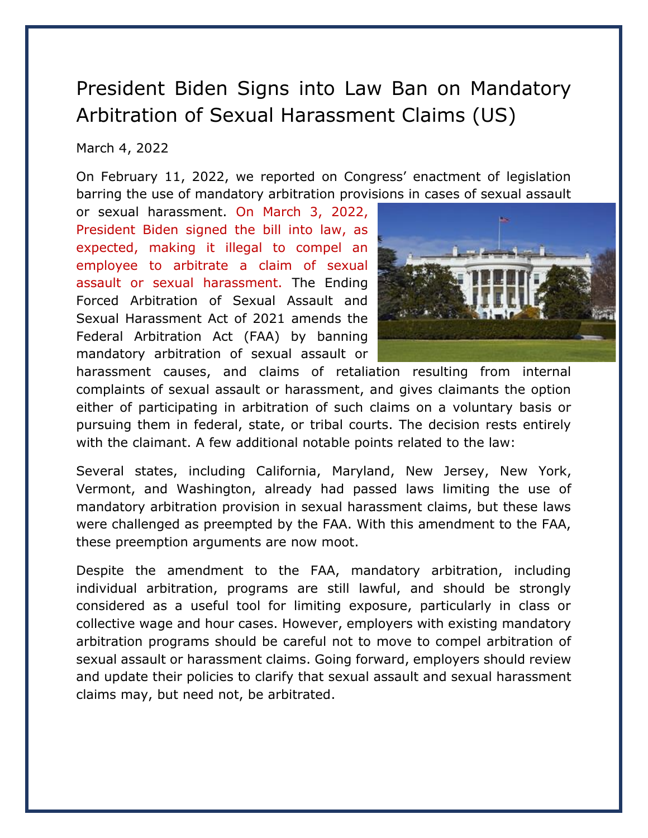## President Biden Signs into Law Ban on Mandatory Arbitration of Sexual Harassment Claims (US)

## March 4, 2022

On February 11, 2022, we reported on Congress' enactment of legislation barring the use of mandatory arbitration provisions in cases of sexual assault

or sexual harassment. On March 3, 2022, President Biden signed the bill into law, as expected, making it illegal to compel an employee to arbitrate a claim of sexual assault or sexual harassment. The Ending Forced Arbitration of Sexual Assault and Sexual Harassment Act of 2021 amends the Federal Arbitration Act (FAA) by banning mandatory arbitration of sexual assault or



harassment causes, and claims of retaliation resulting from internal complaints of sexual assault or harassment, and gives claimants the option either of participating in arbitration of such claims on a voluntary basis or pursuing them in federal, state, or tribal courts. The decision rests entirely with the claimant. A few additional notable points related to the law:

Several states, including California, Maryland, New Jersey, New York, Vermont, and Washington, already had passed laws limiting the use of mandatory arbitration provision in sexual harassment claims, but these laws were challenged as preempted by the FAA. With this amendment to the FAA, these preemption arguments are now moot.

Despite the amendment to the FAA, mandatory arbitration, including individual arbitration, programs are still lawful, and should be strongly considered as a useful tool for limiting exposure, particularly in class or collective wage and hour cases. However, employers with existing mandatory arbitration programs should be careful not to move to compel arbitration of sexual assault or harassment claims. Going forward, employers should review and update their policies to clarify that sexual assault and sexual harassment claims may, but need not, be arbitrated.